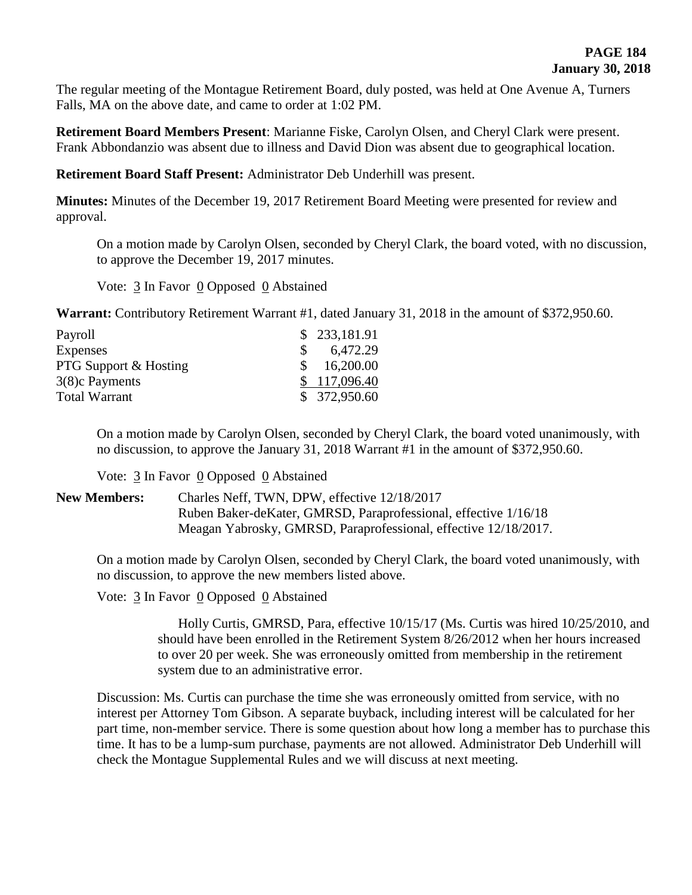The regular meeting of the Montague Retirement Board, duly posted, was held at One Avenue A, Turners Falls, MA on the above date, and came to order at 1:02 PM.

**Retirement Board Members Present**: Marianne Fiske, Carolyn Olsen, and Cheryl Clark were present. Frank Abbondanzio was absent due to illness and David Dion was absent due to geographical location.

**Retirement Board Staff Present:** Administrator Deb Underhill was present.

**Minutes:** Minutes of the December 19, 2017 Retirement Board Meeting were presented for review and approval.

On a motion made by Carolyn Olsen, seconded by Cheryl Clark, the board voted, with no discussion, to approve the December 19, 2017 minutes.

Vote: 3 In Favor 0 Opposed 0 Abstained

**Warrant:** Contributory Retirement Warrant #1, dated January 31, 2018 in the amount of \$372,950.60.

| \$233,181.91 |
|--------------|
| 6,472.29     |
| \$16,200.00  |
| \$117,096.40 |
| \$372,950.60 |
|              |

On a motion made by Carolyn Olsen, seconded by Cheryl Clark, the board voted unanimously, with no discussion, to approve the January 31, 2018 Warrant #1 in the amount of \$372,950.60.

Vote: 3 In Favor 0 Opposed 0 Abstained

**New Members:** Charles Neff, TWN, DPW, effective 12/18/2017 Ruben Baker-deKater, GMRSD, Paraprofessional, effective 1/16/18 Meagan Yabrosky, GMRSD, Paraprofessional, effective 12/18/2017.

On a motion made by Carolyn Olsen, seconded by Cheryl Clark, the board voted unanimously, with no discussion, to approve the new members listed above.

Vote: 3 In Favor 0 Opposed 0 Abstained

Holly Curtis, GMRSD, Para, effective 10/15/17 (Ms. Curtis was hired 10/25/2010, and should have been enrolled in the Retirement System 8/26/2012 when her hours increased to over 20 per week. She was erroneously omitted from membership in the retirement system due to an administrative error.

Discussion: Ms. Curtis can purchase the time she was erroneously omitted from service, with no interest per Attorney Tom Gibson. A separate buyback, including interest will be calculated for her part time, non-member service. There is some question about how long a member has to purchase this time. It has to be a lump-sum purchase, payments are not allowed. Administrator Deb Underhill will check the Montague Supplemental Rules and we will discuss at next meeting.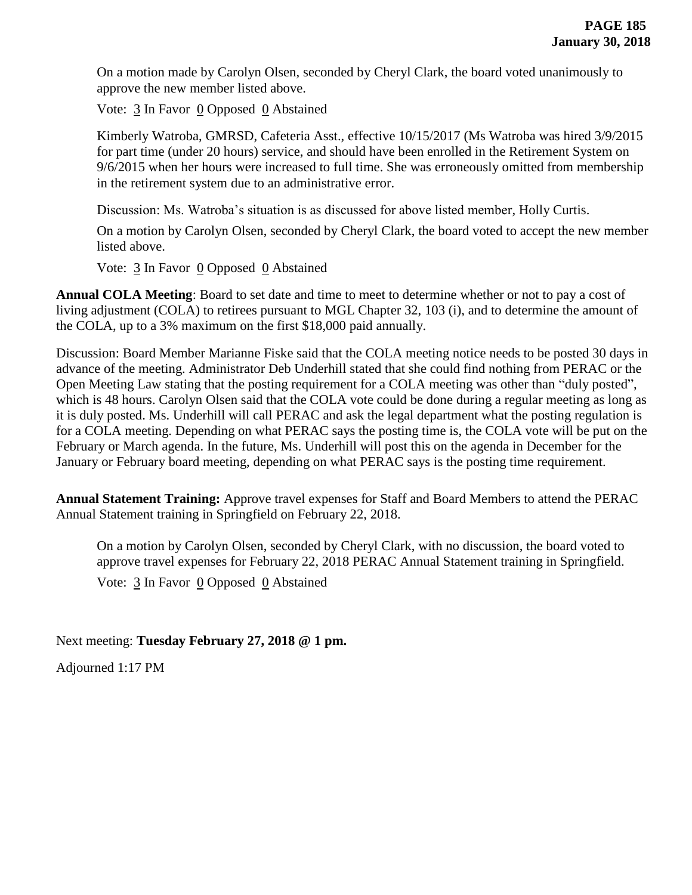On a motion made by Carolyn Olsen, seconded by Cheryl Clark, the board voted unanimously to approve the new member listed above.

Vote: 3 In Favor 0 Opposed 0 Abstained

Kimberly Watroba, GMRSD, Cafeteria Asst., effective 10/15/2017 (Ms Watroba was hired 3/9/2015 for part time (under 20 hours) service, and should have been enrolled in the Retirement System on 9/6/2015 when her hours were increased to full time. She was erroneously omitted from membership in the retirement system due to an administrative error.

Discussion: Ms. Watroba's situation is as discussed for above listed member, Holly Curtis.

On a motion by Carolyn Olsen, seconded by Cheryl Clark, the board voted to accept the new member listed above.

Vote: 3 In Favor 0 Opposed 0 Abstained

**Annual COLA Meeting**: Board to set date and time to meet to determine whether or not to pay a cost of living adjustment (COLA) to retirees pursuant to MGL Chapter 32, 103 (i), and to determine the amount of the COLA, up to a 3% maximum on the first \$18,000 paid annually.

Discussion: Board Member Marianne Fiske said that the COLA meeting notice needs to be posted 30 days in advance of the meeting. Administrator Deb Underhill stated that she could find nothing from PERAC or the Open Meeting Law stating that the posting requirement for a COLA meeting was other than "duly posted", which is 48 hours. Carolyn Olsen said that the COLA vote could be done during a regular meeting as long as it is duly posted. Ms. Underhill will call PERAC and ask the legal department what the posting regulation is for a COLA meeting. Depending on what PERAC says the posting time is, the COLA vote will be put on the February or March agenda. In the future, Ms. Underhill will post this on the agenda in December for the January or February board meeting, depending on what PERAC says is the posting time requirement.

**Annual Statement Training:** Approve travel expenses for Staff and Board Members to attend the PERAC Annual Statement training in Springfield on February 22, 2018.

On a motion by Carolyn Olsen, seconded by Cheryl Clark, with no discussion, the board voted to approve travel expenses for February 22, 2018 PERAC Annual Statement training in Springfield.

Vote:  $\frac{3}{2}$  In Favor  $\frac{0}{2}$  Opposed  $\frac{0}{2}$  Abstained

Next meeting: **Tuesday February 27, 2018 @ 1 pm.**

Adjourned 1:17 PM